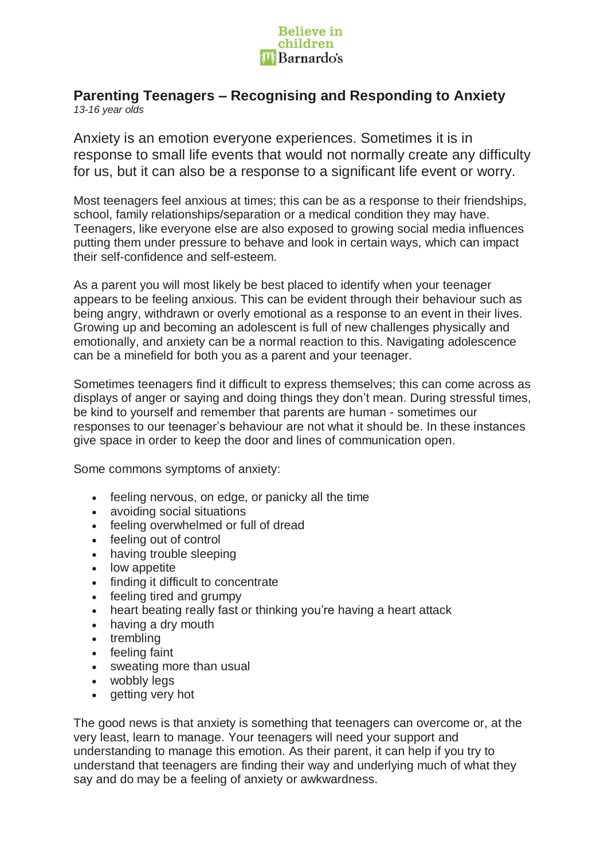

## **Parenting Teenagers – Recognising and Responding to Anxiety** *13-16 year olds*

Anxiety is an emotion everyone experiences. Sometimes it is in response to small life events that would not normally create any difficulty for us, but it can also be a response to a significant life event or worry.

Most teenagers feel anxious at times; this can be as a response to their friendships, school, family relationships/separation or a medical condition they may have. Teenagers, like everyone else are also exposed to growing social media influences putting them under pressure to behave and look in certain ways, which can impact their self-confidence and self-esteem.

As a parent you will most likely be best placed to identify when your teenager appears to be feeling anxious. This can be evident through their behaviour such as being angry, withdrawn or overly emotional as a response to an event in their lives. Growing up and becoming an adolescent is full of new challenges physically and emotionally, and anxiety can be a normal reaction to this. Navigating adolescence can be a minefield for both you as a parent and your teenager.

Sometimes teenagers find it difficult to express themselves; this can come across as displays of anger or saying and doing things they don't mean. During stressful times, be kind to yourself and remember that parents are human - sometimes our responses to our teenager's behaviour are not what it should be. In these instances give space in order to keep the door and lines of communication open.

Some commons symptoms of anxiety:

- feeling nervous, on edge, or panicky all the time
- avoiding social situations
- feeling overwhelmed or full of dread
- feeling out of control
- having trouble sleeping
- low appetite
- finding it difficult to concentrate
- feeling tired and grumpy
- heart beating really fast or thinking you're having a heart attack
- having a dry mouth
- trembling
- feeling faint
- sweating more than usual
- wobbly leas
- getting very hot

The good news is that anxiety is something that teenagers can overcome or, at the very least, learn to manage. Your teenagers will need your support and understanding to manage this emotion. As their parent, it can help if you try to understand that teenagers are finding their way and underlying much of what they say and do may be a feeling of anxiety or awkwardness.